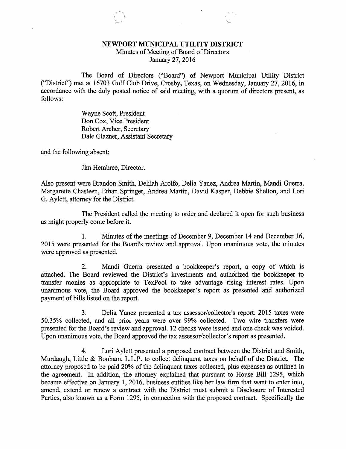## NEWPORT MUNICIPAL UTILITY DISTRICT

Minutes of Meeting of Board of Directors January 27, 2016

The Board of Directors ("Board") of Newport Municipal Utility District ("District") met at 16703 Golf Club Drive, Crosby, Texas, on Wednesday, January 27, 2016, in accordance with the duly posted notice of said meeting, with a quorum of directors present, as follows:

> Wayne Scott, President Don Cox, Vice President Robert Archer, Secretary Dale Glazner, Assistant Secretary

and the following absent:

Jim Hembree, Director.

Also present were Brandon Smith, Delilah Arolfo, Delia Yanez, Andrea Martin, Mandi Guerra, Margarette Chasteen, Ethan Springer, Andrea Martin, David Kasper, Debbie Shelton, and Lori G. Aylett, attorney for the District.

The President called the meeting to order and declared it open for such business as might properly come before it.

1. Minutes of the meetings of December 9, December 14 and December 16, 2015 were presented for the Board's review and approval. Upon unanimous vote, the minutes were approved as presented.

2. Mandi Guerra presented a bookkeeper's report, a copy of which is attached. The Board reviewed the District's investments and authorized the bookkeeper to transfer monies as appropriate to TexPool to take advantage rising interest rates. Upon unanimous vote, the Board approved the bookkeeper's report as presented and authorized payment of bills listed on the report.

3. Delia Yanez presented a tax assessor/collector's report. 2015 taxes were 50.35% collected, and all prior years were over 99% collected. Two wire transfers were presented for the Board's review and approval. 12 checks were issued and one check was voided. Upon unanimous vote, the Board approved the tax assessor/collector's report as presented.

4. Lori Aylett presented a proposed contract between the District and Smith, Murdaugh, Little & Bonham, L.L.P. to collect delinquent taxes on behalf of the District. The attorney proposed to be paid 20% of the delinquent taxes collected, plus expenses as outlined in the agreement. In addition, the attorney explained that pursuant to House Bill 1295, which became effective on January 1, 2016, business entities like her law firm that want to enter into, amend, extend or renew a contract with the District must submit a Disclosure of Interested Parties, also known as a Form 1295, in connection with the proposed contract. Specifically the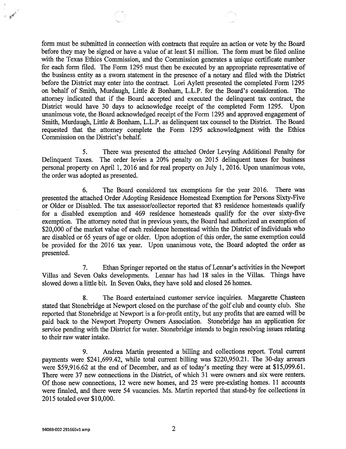form must be submitted in connection with contracts that require an action or vote by the Board before they may be signed or have a value of at least \$1 million. The form must be filed online with the Texas Ethics Commission, and the Commission generates a unique certificate number for each form filed. The Form 1295 must then be executed by an appropriate representative of the business entity as a sworn statement in the presence of a notary and filed with the District before the District may enter into the contract. Lori Aylett presented the completed Form 1295 on behalf of Smith, Murdaugh, Little & Bonham, L.L.P. for the Board's consideration. The attorney indicated that if the Board accepted and executed the delinquent tax contract, the District would have 30 days to acknowledge receipt of the completed Form 1295. Upon unanimous vote, the Board acknowledged receipt of the Form 1295 and approved engagement of Smith, Murdaugh, Little & Bonham, L.L.P. as delinquent tax counsel to the District. The Board requested that the attorney complete the Form 1295 acknowledgment with the Ethics Commission on the District's behalf.

5. There was presented the attached Order Levying Additional Penalty for Delinquent Taxes. The order levies a 20% penalty on 2015 delinquent taxes for business personal property on April 1, 2016 and for real property on July 1, 2016. Upon unanimous vote, the order was adopted as presented.

6. The Board considered tax exemptions for the year 2016. There was presented the attached Order Adopting Residence Homestead Exemption for Persons Sixty-Five or Older or Disabled. The tax assessor/collector reported that 83 residence homesteads qualify for a disabled exemption and 469 residence homesteads qualify for the over sixty-five exemption. The attorney noted that in previous years, the Board had authorized an exemption of \$20,000 of the market value of each residence homestead within the District of individuals who are disabled or 65 years of age or older. Upon adoption of this order, the same exemption could be provided for the 2016 tax year. Upon unanimous vote, the Board adopted the order as presented.

7. Ethan Springer reported on the status of Lennar's activities in the Newport Villas and Seven Oaks developments. Lennar has had 18 sales in the Villas. Things have slowed down a little bit. In Seven Oaks, they have sold and closed 26 homes.

8. The Board entertained customer service inquiries. Margarette Chasteen stated that Stonebridge at Newport closed on the purchase of the golf club and county club. She reported that Stonebridge at Newport is a for-profit entity, but any profits that are earned will be paid back to the Newport Property Owners Association. Stonebridge has an application for service pending with the District for water. Stonebridge intends to begin resolving issues relating to their raw water intake.

9. Andrea Martin presented a billing and collections report. Total current payments were \$241,699.42, while total current billing was \$220,950.21. The 30-day arrears were \$59,916.62 at the end of December, and as of today's meeting they were at \$15,099.61. There were 37 new connections in the District, of which 31 were owners and six were renters. Of those new connections, 12 were new homes, and 25 were pre-existing homes. 11 accounts were finaled, and there were 54 vacancies. Ms. Martin reported that stand-by fee collections in 2015 totaled over \$10,000.

**CONSTANT**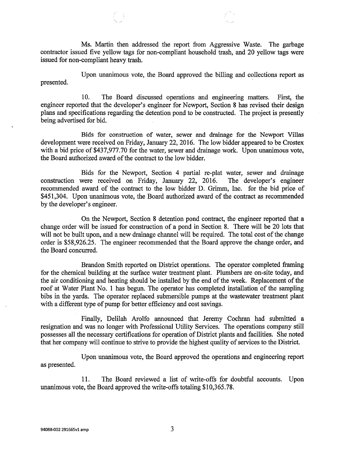Ms. Martin then addressed the report from Aggressive Waste. The garbage contractor issued five yellow tags for non-compliant household trash, and 20 yellow tags were issued for non-compliant heavy trash.

Upon unanimous vote, the Board approved the billing and collections report as presented.

10. The Board discussed operations and engineering matters. First, the engineer reported that the developer's engineer for Newport, Section 8 has revised their design plans and specifications regarding the detention pond to be constructed. The project is presently being advertised for bid.

Bids for construction of water, sewer and drainage for the Newport Villas development were received on Friday, January 22, 2016. The low bidder appeared to be Crostex with a bid price of \$437,977.70 for the water, sewer and drainage work. Upon unanimous vote, the Board authorized award of the contract to the low bidder.

Bids for the Newport, Section 4 partial re-plat water, sewer and drainage were received on Friday, January 22, 2016. The developer's engineer construction were received on Friday, January 22, 2016. recommended award of the contract to the low bidder D. Grimm, Inc. for the bid price of \$451,304. Upon unanimous vote, the Board authorized award of the contract as recommended by the developer's engineer.

On the Newport, Section 8 detention pond contract, the engineer reported that a change order will be issued for construction of a pond in Section 8. There will be 20 lots that will not be built upon, and a new drainage channel will be required. The total cost of the change order is \$58,926.25. The engineer recommended that the Board approve the change order, and the Board concurred.

Brandon Smith reported on District operations. The operator completed framing for the chemical building at the surface water treatment plant. Plumbers are on-site today, and the air conditioning and heating should be installed by the end of the week. Replacement of the roof at Water Plant No. 1 has begun. The operator has completed installation of the sampling bibs in the yards. The operator replaced submersible pumps at the wastewater treatment plant with a different type of pump for better efficiency and cost savings.

Finally, Delilah Arolfo announced that Jeremy Cochran had submitted a resignation and was no longer with Professional Utility Services. The operations company still possesses all the necessary certifications for operation of District plants and facilities. She noted that her company will continue to strive to provide the highest quality of services to the District.

Upon unanimous vote, the Board approved the operations and engineering report as presented.

11. The Board reviewed a list of write-offs for doubtful accounts. Upon unanimous vote, the Board approved the write-offs totaling \$10,365.78.